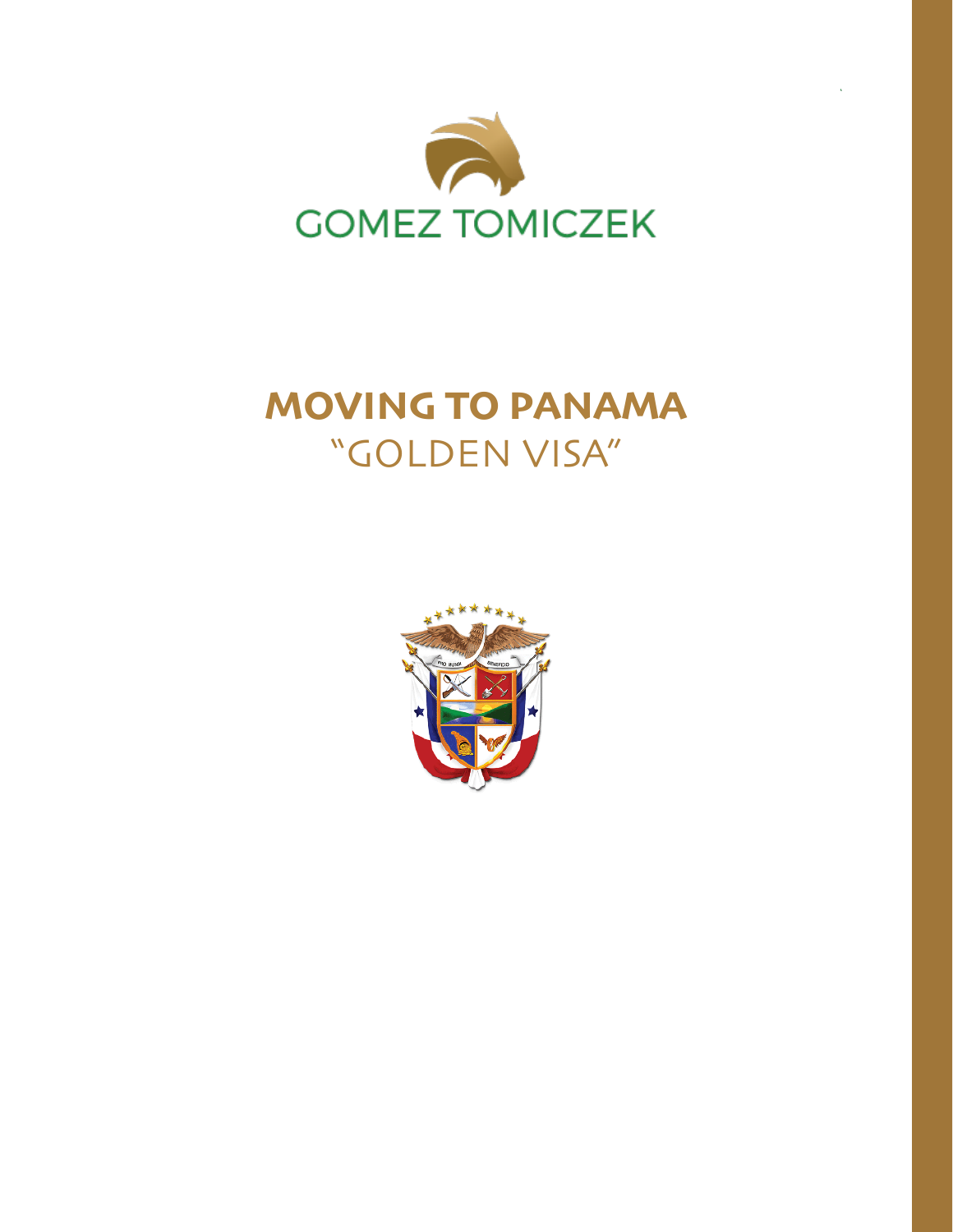

# **MOVING TO PANAMA**  "GOLDEN VISA"

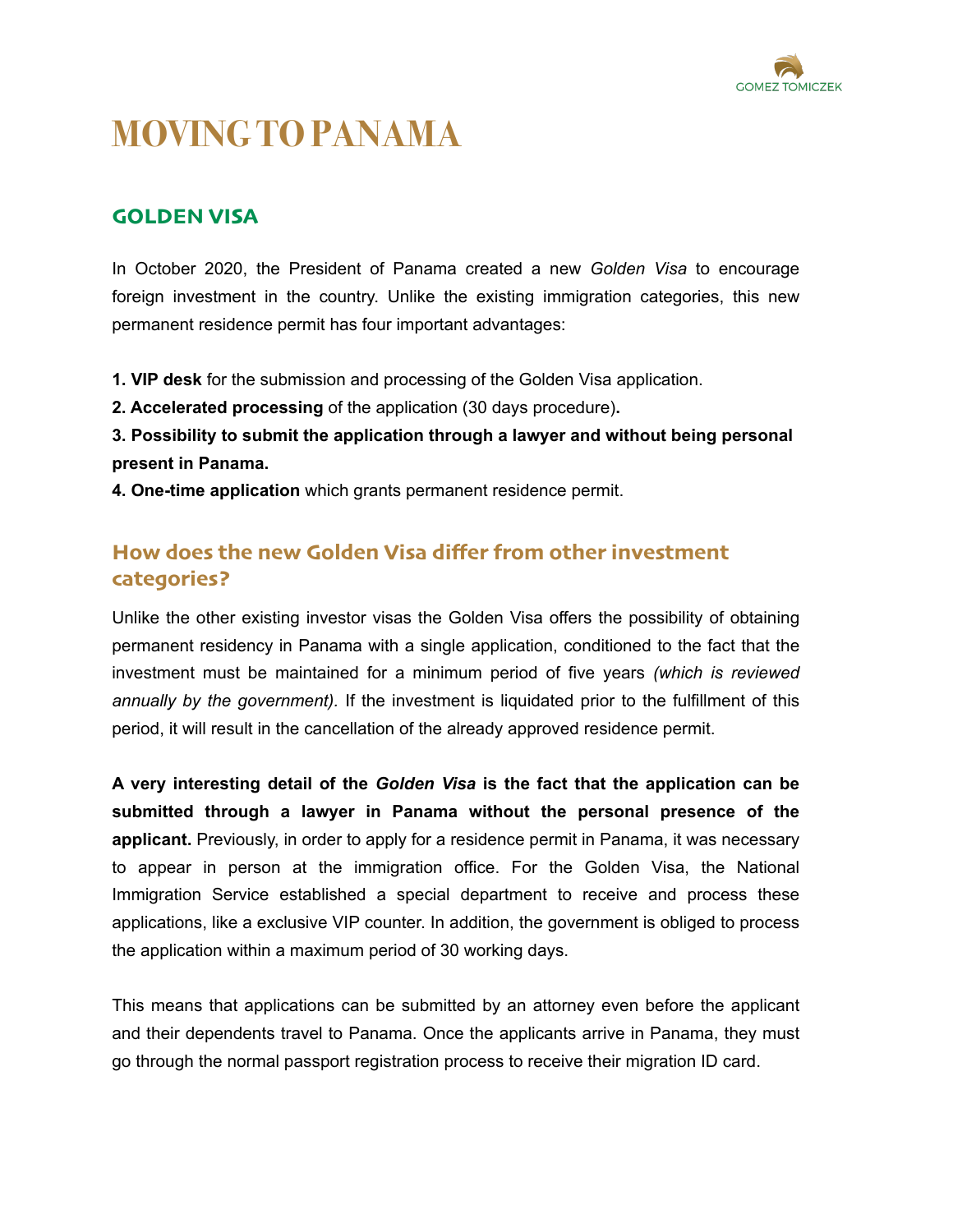

## **MOVING TO PANAMA**

### **GOLDEN VISA**

In October 2020, the President of Panama created a new *Golden Visa* to encourage foreign investment in the country. Unlike the existing immigration categories, this new permanent residence permit has four important advantages:

**1. VIP desk** for the submission and processing of the Golden Visa application.

**2. Accelerated processing** of the application (30 days procedure)**.**

**3. Possibility to submit the application through a lawyer and without being personal present in Panama.** 

**4. One-time application** which grants permanent residence permit.

## **How does the new Golden Visa differ from other investment categories?**

Unlike the other existing investor visas the Golden Visa offers the possibility of obtaining permanent residency in Panama with a single application, conditioned to the fact that the investment must be maintained for a minimum period of five years *(which is reviewed annually by the government).* If the investment is liquidated prior to the fulfillment of this period, it will result in the cancellation of the already approved residence permit.

**A very interesting detail of the** *Golden Visa* **is the fact that the application can be submitted through a lawyer in Panama without the personal presence of the applicant.** Previously, in order to apply for a residence permit in Panama, it was necessary to appear in person at the immigration office. For the Golden Visa, the National Immigration Service established a special department to receive and process these applications, like a exclusive VIP counter. In addition, the government is obliged to process the application within a maximum period of 30 working days.

This means that applications can be submitted by an attorney even before the applicant and their dependents travel to Panama. Once the applicants arrive in Panama, they must go through the normal passport registration process to receive their migration ID card.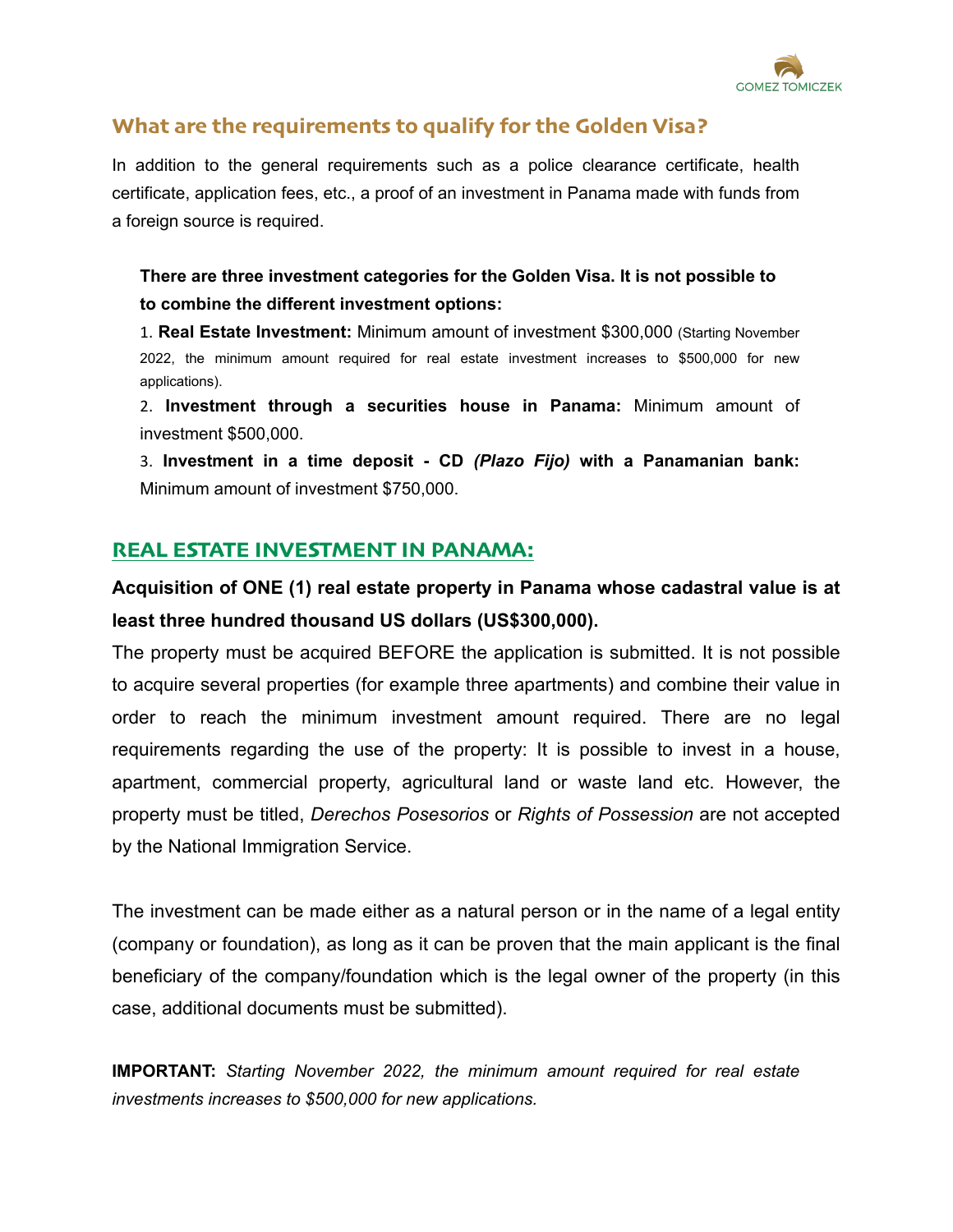

## **What are the requirements to qualify for the Golden Visa?**

In addition to the general requirements such as a police clearance certificate, health certificate, application fees, etc., a proof of an investment in Panama made with funds from a foreign source is required.

**There are three investment categories for the Golden Visa. It is not possible to to combine the different investment options:** 

1. **Real Estate Investment:** Minimum amount of investment \$300,000 (Starting November 2022, the minimum amount required for real estate investment increases to \$500,000 for new applications).

2. **Investment through a securities house in Panama:** Minimum amount of investment \$500,000.

3. **Investment in a time deposit - CD** *(Plazo Fijo)* **with a Panamanian bank:**  Minimum amount of investment \$750,000.

## **REAL ESTATE INVESTMENT IN PANAMA:**

**Acquisition of ONE (1) real estate property in Panama whose cadastral value is at least three hundred thousand US dollars (US\$300,000).** 

The property must be acquired BEFORE the application is submitted. It is not possible to acquire several properties (for example three apartments) and combine their value in order to reach the minimum investment amount required. There are no legal requirements regarding the use of the property: It is possible to invest in a house, apartment, commercial property, agricultural land or waste land etc. However, the property must be titled, *Derechos Posesorios* or *Rights of Possession* are not accepted by the National Immigration Service.

The investment can be made either as a natural person or in the name of a legal entity (company or foundation), as long as it can be proven that the main applicant is the final beneficiary of the company/foundation which is the legal owner of the property (in this case, additional documents must be submitted).

**IMPORTANT:** *Starting November 2022, the minimum amount required for real estate investments increases to \$500,000 for new applications.*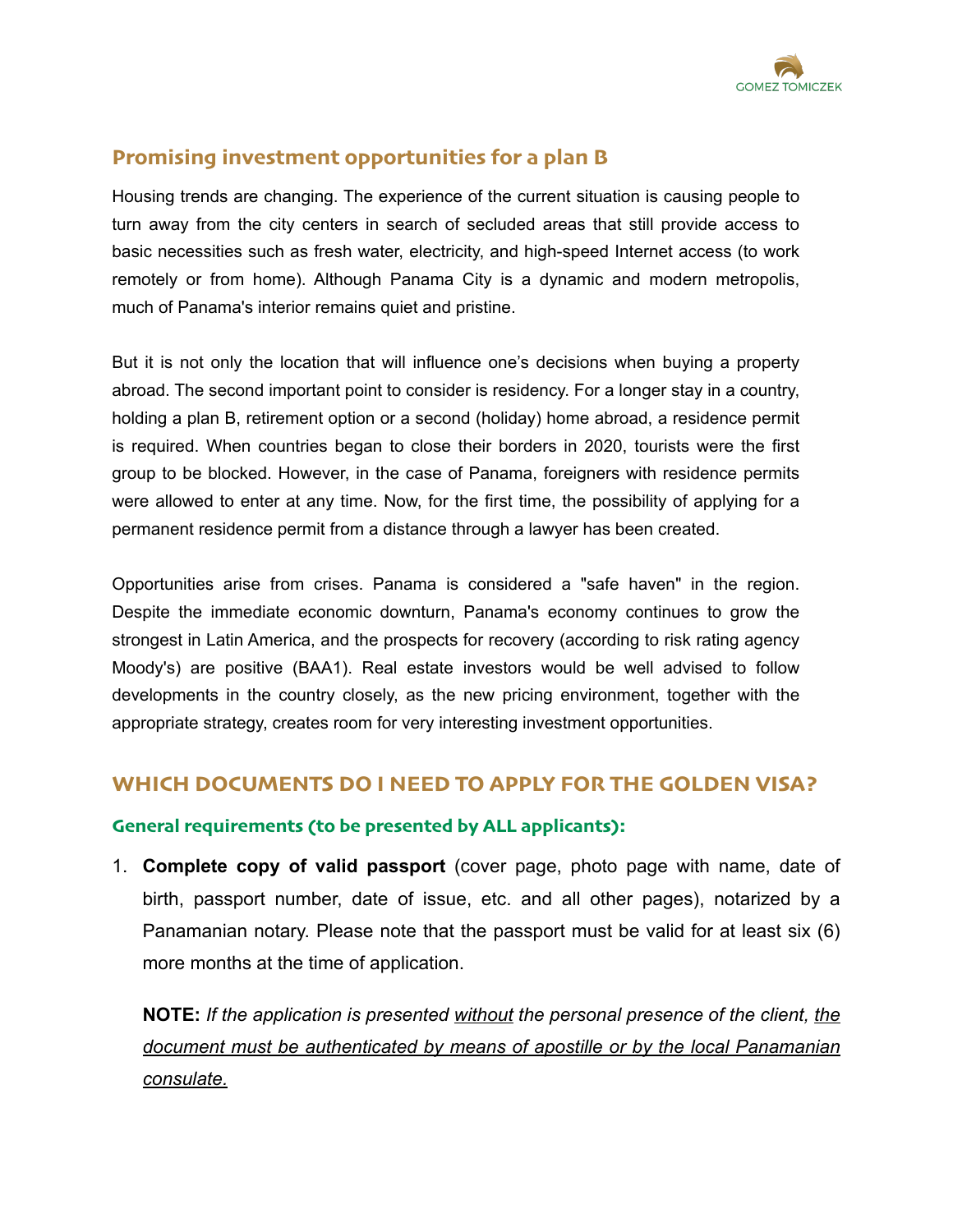

## **Promising investment opportunities for a plan B**

Housing trends are changing. The experience of the current situation is causing people to turn away from the city centers in search of secluded areas that still provide access to basic necessities such as fresh water, electricity, and high-speed Internet access (to work remotely or from home). Although Panama City is a dynamic and modern metropolis, much of Panama's interior remains quiet and pristine.

But it is not only the location that will influence one's decisions when buying a property abroad. The second important point to consider is residency. For a longer stay in a country, holding a plan B, retirement option or a second (holiday) home abroad, a residence permit is required. When countries began to close their borders in 2020, tourists were the first group to be blocked. However, in the case of Panama, foreigners with residence permits were allowed to enter at any time. Now, for the first time, the possibility of applying for a permanent residence permit from a distance through a lawyer has been created.

Opportunities arise from crises. Panama is considered a "safe haven" in the region. Despite the immediate economic downturn, Panama's economy continues to grow the strongest in Latin America, and the prospects for recovery (according to risk rating agency Moody's) are positive (BAA1). Real estate investors would be well advised to follow developments in the country closely, as the new pricing environment, together with the appropriate strategy, creates room for very interesting investment opportunities.

#### **WHICH DOCUMENTS DO I NEED TO APPLY FOR THE GOLDEN VISA?**

#### **General requirements (to be presented by ALL applicants):**

1. **Complete copy of valid passport** (cover page, photo page with name, date of birth, passport number, date of issue, etc. and all other pages), notarized by a Panamanian notary. Please note that the passport must be valid for at least six (6) more months at the time of application.

**NOTE:** *If the application is presented without the personal presence of the client, the document must be authenticated by means of apostille or by the local Panamanian consulate.*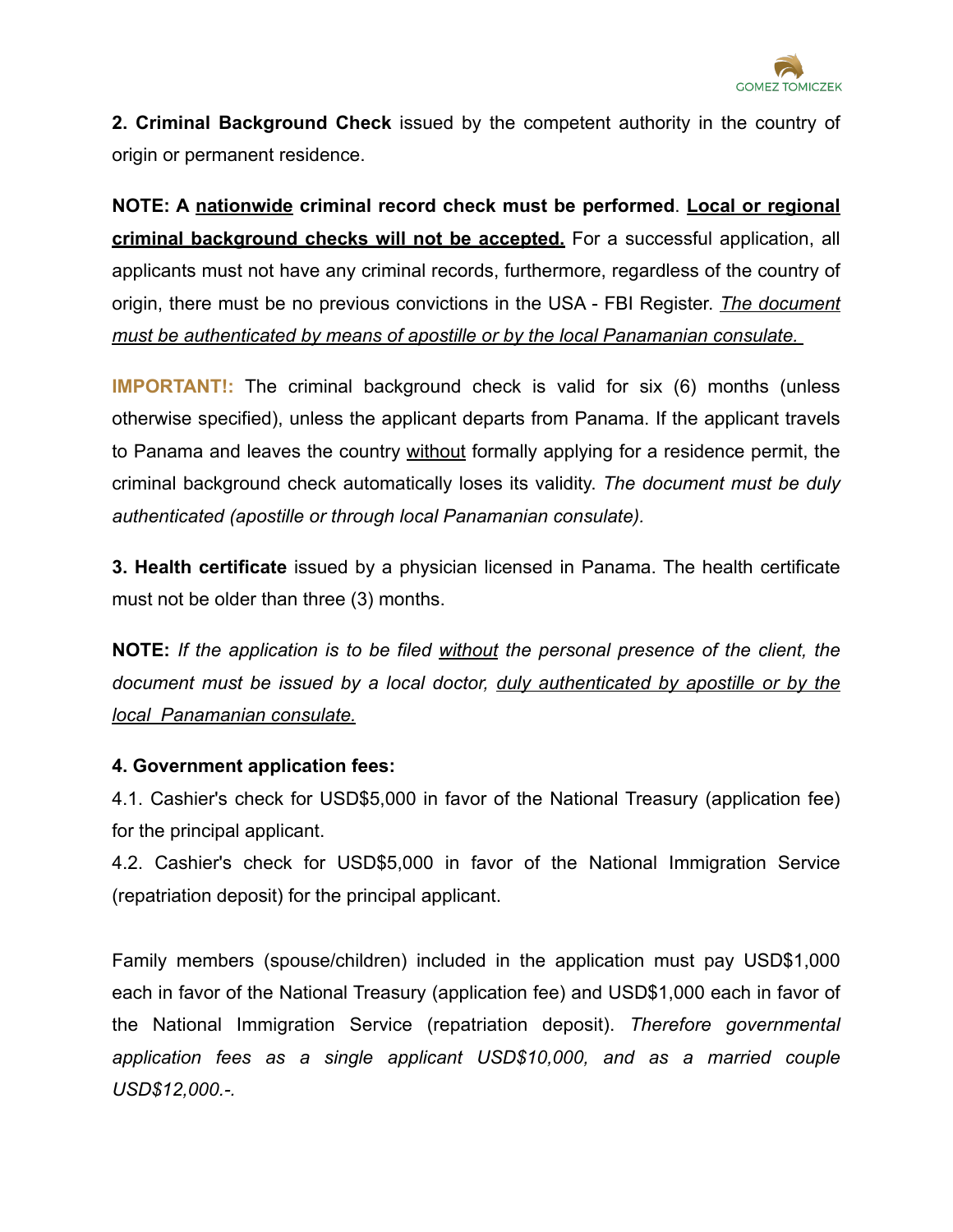

**2. Criminal Background Check** issued by the competent authority in the country of origin or permanent residence.

**NOTE: A nationwide criminal record check must be performed**. **Local or regional criminal background checks will not be accepted.** For a successful application, all applicants must not have any criminal records, furthermore, regardless of the country of origin, there must be no previous convictions in the USA - FBI Register. *The document must be authenticated by means of apostille or by the local Panamanian consulate.* 

**IMPORTANT!:** The criminal background check is valid for six (6) months (unless otherwise specified), unless the applicant departs from Panama. If the applicant travels to Panama and leaves the country without formally applying for a residence permit, the criminal background check automatically loses its validity. *The document must be duly authenticated (apostille or through local Panamanian consulate).*

**3. Health certificate** issued by a physician licensed in Panama. The health certificate must not be older than three (3) months.

**NOTE:** *If the application is to be filed without the personal presence of the client, the document must be issued by a local doctor, duly authenticated by apostille or by the local Panamanian consulate.*

#### **4. Government application fees:**

4.1. Cashier's check for USD\$5,000 in favor of the National Treasury (application fee) for the principal applicant.

4.2. Cashier's check for USD\$5,000 in favor of the National Immigration Service (repatriation deposit) for the principal applicant.

Family members (spouse/children) included in the application must pay USD\$1,000 each in favor of the National Treasury (application fee) and USD\$1,000 each in favor of the National Immigration Service (repatriation deposit). *Therefore governmental application fees as a single applicant USD\$10,000, and as a married couple USD\$12,000.-.*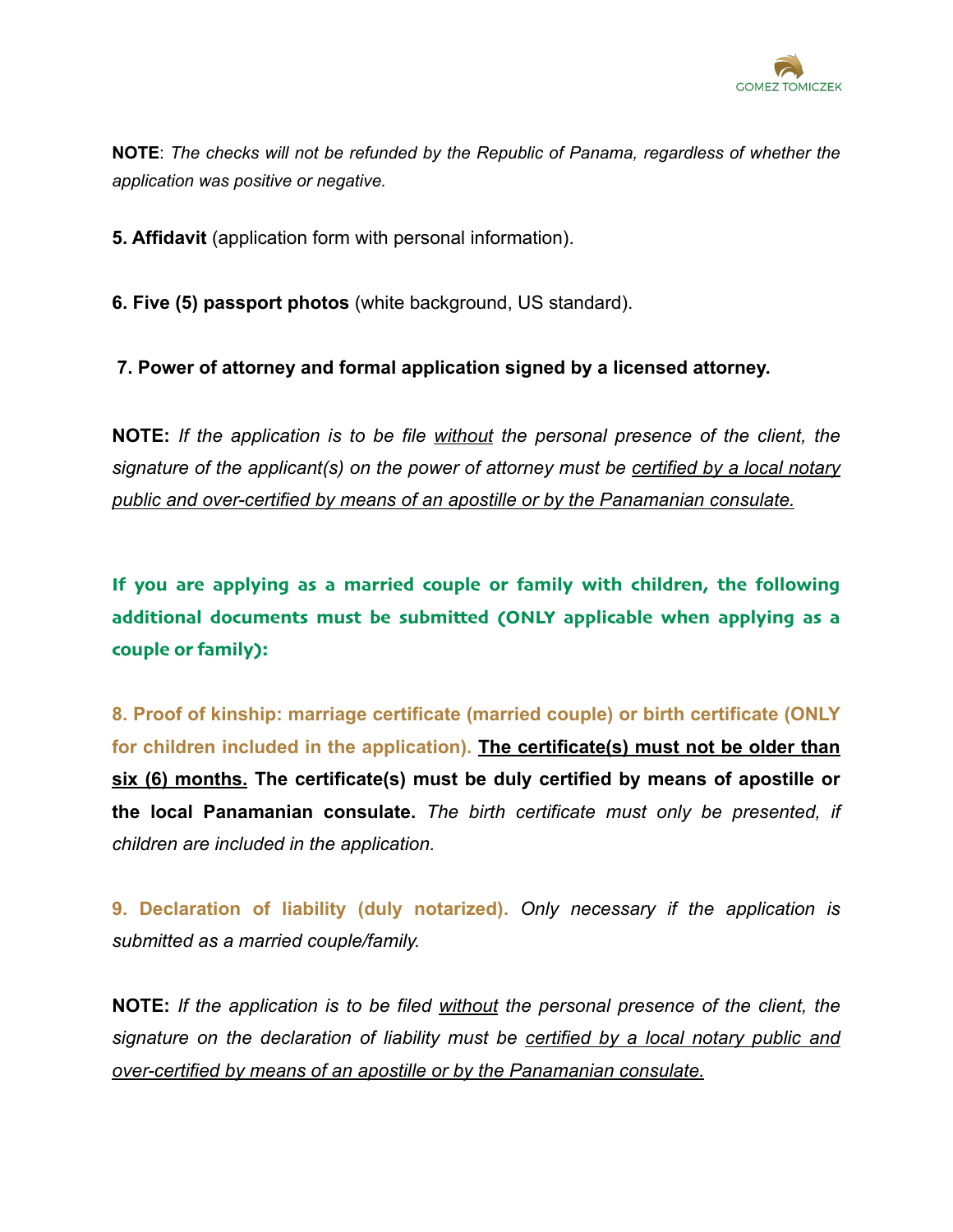

**NOTE**: *The checks will not be refunded by the Republic of Panama, regardless of whether the application was positive or negative.*

**5. Affidavit** (application form with personal information).

**6. Five (5) passport photos** (white background, US standard).

**7. Power of attorney and formal application signed by a licensed attorney.**

**NOTE:** *If the application is to be file without the personal presence of the client, the signature of the applicant(s) on the power of attorney must be certified by a local notary public and over-certified by means of an apostille or by the Panamanian consulate.*

**If you are applying as a married couple or family with children, the following additional documents must be submitted (ONLY applicable when applying as a couple or family):**

**8. Proof of kinship: marriage certificate (married couple) or birth certificate (ONLY for children included in the application). The certificate(s) must not be older than six (6) months. The certificate(s) must be duly certified by means of apostille or the local Panamanian consulate.** *The birth certificate must only be presented, if children are included in the application.* 

**9. Declaration of liability (duly notarized).** *Only necessary if the application is submitted as a married couple/family.* 

**NOTE:** *If the application is to be filed without the personal presence of the client, the signature on the declaration of liability must be certified by a local notary public and over-certified by means of an apostille or by the Panamanian consulate.*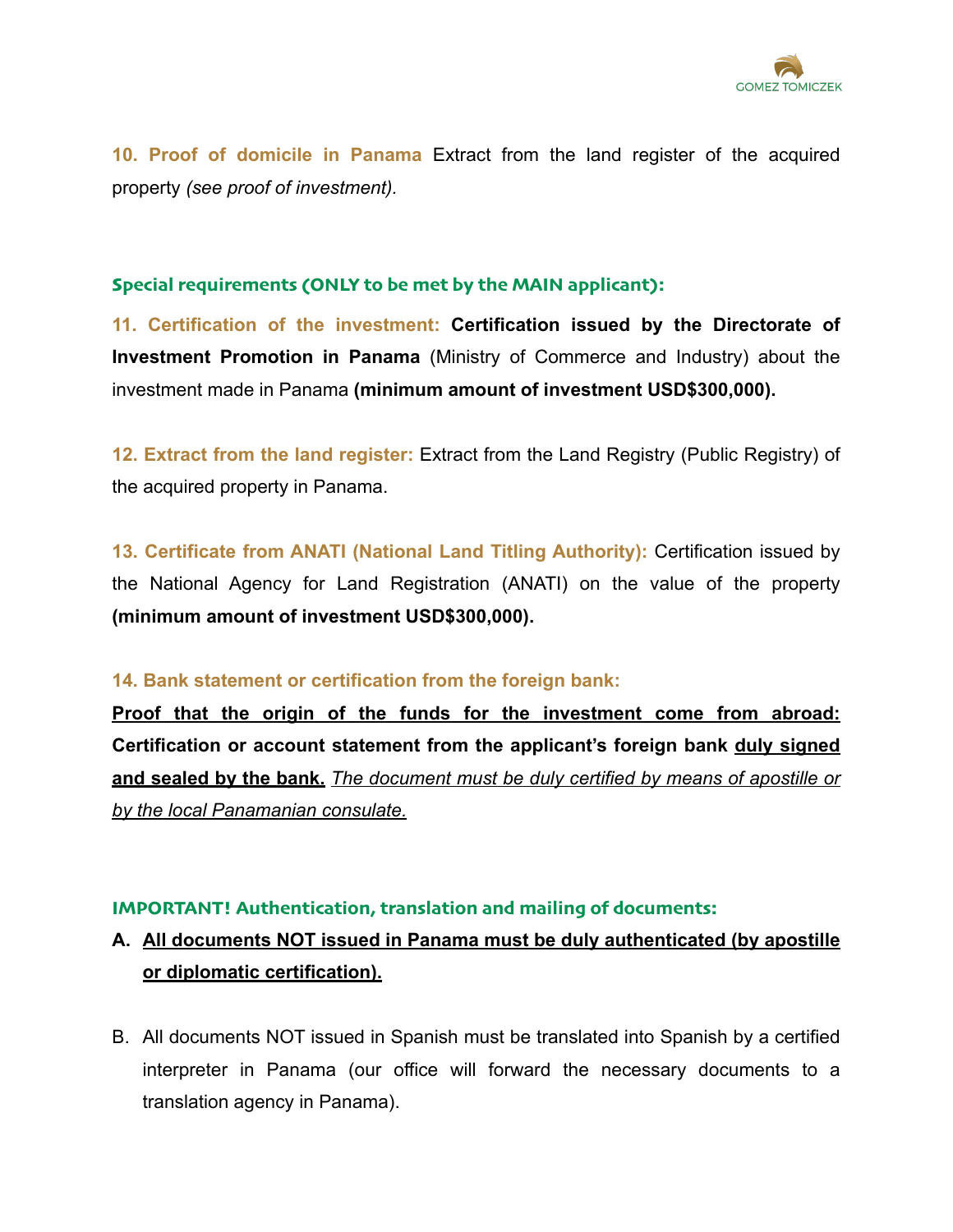

**10. Proof of domicile in Panama** Extract from the land register of the acquired property *(see proof of investment).* 

#### **Special requirements (ONLY to be met by the MAIN applicant):**

**11. Certification of the investment: Certification issued by the Directorate of Investment Promotion in Panama** (Ministry of Commerce and Industry) about the investment made in Panama **(minimum amount of investment USD\$300,000).**

**12. Extract from the land register:** Extract from the Land Registry (Public Registry) of the acquired property in Panama.

**13. Certificate from ANATI (National Land Titling Authority):** Certification issued by the National Agency for Land Registration (ANATI) on the value of the property **(minimum amount of investment USD\$300,000).**

#### **14. Bank statement or certification from the foreign bank:**

**Proof that the origin of the funds for the investment come from abroad: Certification or account statement from the applicant's foreign bank duly signed and sealed by the bank.** *The document must be duly certified by means of apostille or by the local Panamanian consulate.* 

#### **IMPORTANT! Authentication, translation and mailing of documents:**

## **A. All documents NOT issued in Panama must be duly authenticated (by apostille or diplomatic certification).**

B. All documents NOT issued in Spanish must be translated into Spanish by a certified interpreter in Panama (our office will forward the necessary documents to a translation agency in Panama).